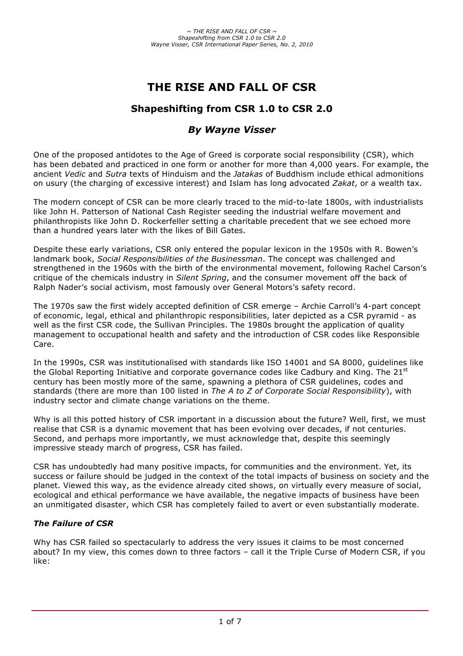# **THE RISE AND FALL OF CSR**

# **Shapeshifting from CSR 1.0 to CSR 2.0**

# *By Wayne Visser*

One of the proposed antidotes to the Age of Greed is corporate social responsibility (CSR), which has been debated and practiced in one form or another for more than 4,000 years. For example, the ancient *Vedic* and *Sutra* texts of Hinduism and the *Jatakas* of Buddhism include ethical admonitions on usury (the charging of excessive interest) and Islam has long advocated *Zakat*, or a wealth tax.

The modern concept of CSR can be more clearly traced to the mid-to-late 1800s, with industrialists like John H. Patterson of National Cash Register seeding the industrial welfare movement and philanthropists like John D. Rockerfeller setting a charitable precedent that we see echoed more than a hundred years later with the likes of Bill Gates.

Despite these early variations, CSR only entered the popular lexicon in the 1950s with R. Bowen's landmark book, *Social Responsibilities of the Businessman*. The concept was challenged and strengthened in the 1960s with the birth of the environmental movement, following Rachel Carson's critique of the chemicals industry in *Silent Spring*, and the consumer movement off the back of Ralph Nader's social activism, most famously over General Motors's safety record.

The 1970s saw the first widely accepted definition of CSR emerge – Archie Carroll's 4-part concept of economic, legal, ethical and philanthropic responsibilities, later depicted as a CSR pyramid - as well as the first CSR code, the Sullivan Principles. The 1980s brought the application of quality management to occupational health and safety and the introduction of CSR codes like Responsible Care.

In the 1990s, CSR was institutionalised with standards like ISO 14001 and SA 8000, guidelines like the Global Reporting Initiative and corporate governance codes like Cadbury and King. The 21st century has been mostly more of the same, spawning a plethora of CSR guidelines, codes and standards (there are more than 100 listed in *The A to Z of Corporate Social Responsibility*), with industry sector and climate change variations on the theme.

Why is all this potted history of CSR important in a discussion about the future? Well, first, we must realise that CSR is a dynamic movement that has been evolving over decades, if not centuries. Second, and perhaps more importantly, we must acknowledge that, despite this seemingly impressive steady march of progress, CSR has failed.

CSR has undoubtedly had many positive impacts, for communities and the environment. Yet, its success or failure should be judged in the context of the total impacts of business on society and the planet. Viewed this way, as the evidence already cited shows, on virtually every measure of social, ecological and ethical performance we have available, the negative impacts of business have been an unmitigated disaster, which CSR has completely failed to avert or even substantially moderate.

# *The Failure of CSR*

Why has CSR failed so spectacularly to address the very issues it claims to be most concerned about? In my view, this comes down to three factors – call it the Triple Curse of Modern CSR, if you like: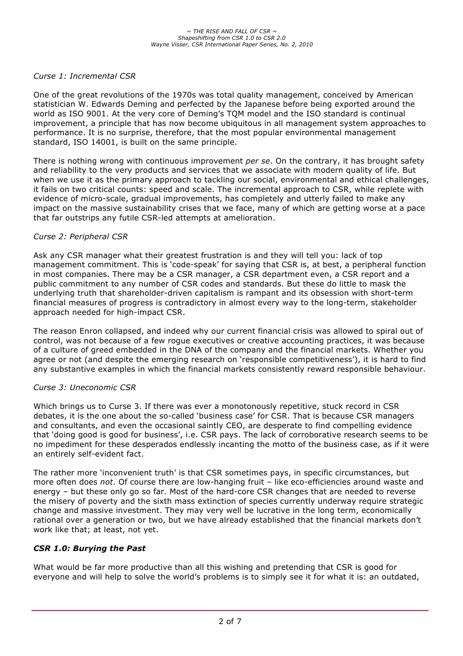# *Curse 1: Incremental CSR*

One of the great revolutions of the 1970s was total quality management, conceived by American statistician W. Edwards Deming and perfected by the Japanese before being exported around the world as ISO 9001. At the very core of Deming's TQM model and the ISO standard is continual improvement, a principle that has now become ubiquitous in all management system approaches to performance. It is no surprise, therefore, that the most popular environmental management standard, ISO 14001, is built on the same principle.

There is nothing wrong with continuous improvement *per se*. On the contrary, it has brought safety and reliability to the very products and services that we associate with modern quality of life. But when we use it as the primary approach to tackling our social, environmental and ethical challenges, it fails on two critical counts: speed and scale. The incremental approach to CSR, while replete with evidence of micro-scale, gradual improvements, has completely and utterly failed to make any impact on the massive sustainability crises that we face, many of which are getting worse at a pace that far outstrips any futile CSR-led attempts at amelioration.

# *Curse 2: Peripheral CSR*

Ask any CSR manager what their greatest frustration is and they will tell you: lack of top management commitment. This is 'code-speak' for saying that CSR is, at best, a peripheral function in most companies. There may be a CSR manager, a CSR department even, a CSR report and a public commitment to any number of CSR codes and standards. But these do little to mask the underlying truth that shareholder-driven capitalism is rampant and its obsession with short-term financial measures of progress is contradictory in almost every way to the long-term, stakeholder approach needed for high-impact CSR.

The reason Enron collapsed, and indeed why our current financial crisis was allowed to spiral out of control, was not because of a few rogue executives or creative accounting practices, it was because of a culture of greed embedded in the DNA of the company and the financial markets. Whether you agree or not (and despite the emerging research on 'responsible competitiveness'), it is hard to find any substantive examples in which the financial markets consistently reward responsible behaviour.

### *Curse 3: Uneconomic CSR*

Which brings us to Curse 3. If there was ever a monotonously repetitive, stuck record in CSR debates, it is the one about the so-called 'business case' for CSR. That is because CSR managers and consultants, and even the occasional saintly CEO, are desperate to find compelling evidence that 'doing good is good for business', i.e. CSR pays. The lack of corroborative research seems to be no impediment for these desperados endlessly incanting the motto of the business case, as if it were an entirely self-evident fact.

The rather more 'inconvenient truth' is that CSR sometimes pays, in specific circumstances, but more often does *not*. Of course there are low-hanging fruit – like eco-efficiencies around waste and energy – but these only go so far. Most of the hard-core CSR changes that are needed to reverse the misery of poverty and the sixth mass extinction of species currently underway require strategic change and massive investment. They may very well be lucrative in the long term, economically rational over a generation or two, but we have already established that the financial markets don't work like that; at least, not yet.

### *CSR 1.0: Burying the Past*

What would be far more productive than all this wishing and pretending that CSR is good for everyone and will help to solve the world's problems is to simply see it for what it is: an outdated,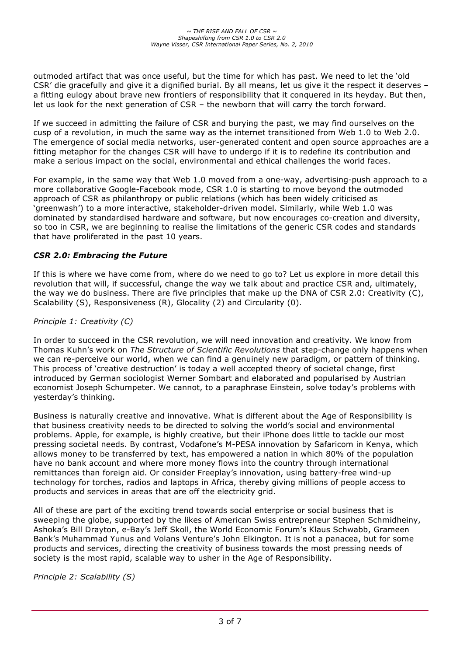outmoded artifact that was once useful, but the time for which has past. We need to let the 'old CSR' die gracefully and give it a dignified burial. By all means, let us give it the respect it deserves – a fitting eulogy about brave new frontiers of responsibility that it conquered in its heyday. But then, let us look for the next generation of CSR – the newborn that will carry the torch forward.

If we succeed in admitting the failure of CSR and burying the past, we may find ourselves on the cusp of a revolution, in much the same way as the internet transitioned from Web 1.0 to Web 2.0. The emergence of social media networks, user-generated content and open source approaches are a fitting metaphor for the changes CSR will have to undergo if it is to redefine its contribution and make a serious impact on the social, environmental and ethical challenges the world faces.

For example, in the same way that Web 1.0 moved from a one-way, advertising-push approach to a more collaborative Google-Facebook mode, CSR 1.0 is starting to move beyond the outmoded approach of CSR as philanthropy or public relations (which has been widely criticised as 'greenwash') to a more interactive, stakeholder-driven model. Similarly, while Web 1.0 was dominated by standardised hardware and software, but now encourages co-creation and diversity, so too in CSR, we are beginning to realise the limitations of the generic CSR codes and standards that have proliferated in the past 10 years.

# *CSR 2.0: Embracing the Future*

If this is where we have come from, where do we need to go to? Let us explore in more detail this revolution that will, if successful, change the way we talk about and practice CSR and, ultimately, the way we do business. There are five principles that make up the DNA of CSR 2.0: Creativity (C), Scalability (S), Responsiveness (R), Glocality (2) and Circularity (0).

# *Principle 1: Creativity (C)*

In order to succeed in the CSR revolution, we will need innovation and creativity. We know from Thomas Kuhn's work on *The Structure of Scientific Revolutions* that step-change only happens when we can re-perceive our world, when we can find a genuinely new paradigm, or pattern of thinking. This process of 'creative destruction' is today a well accepted theory of societal change, first introduced by German sociologist Werner Sombart and elaborated and popularised by Austrian economist Joseph Schumpeter. We cannot, to a paraphrase Einstein, solve today's problems with yesterday's thinking.

Business is naturally creative and innovative. What is different about the Age of Responsibility is that business creativity needs to be directed to solving the world's social and environmental problems. Apple, for example, is highly creative, but their iPhone does little to tackle our most pressing societal needs. By contrast, Vodafone's M-PESA innovation by Safaricom in Kenya, which allows money to be transferred by text, has empowered a nation in which 80% of the population have no bank account and where more money flows into the country through international remittances than foreign aid. Or consider Freeplay's innovation, using battery-free wind-up technology for torches, radios and laptops in Africa, thereby giving millions of people access to products and services in areas that are off the electricity grid.

All of these are part of the exciting trend towards social enterprise or social business that is sweeping the globe, supported by the likes of American Swiss entrepreneur Stephen Schmidheiny, Ashoka's Bill Drayton, e-Bay's Jeff Skoll, the World Economic Forum's Klaus Schwabb, Grameen Bank's Muhammad Yunus and Volans Venture's John Elkington. It is not a panacea, but for some products and services, directing the creativity of business towards the most pressing needs of society is the most rapid, scalable way to usher in the Age of Responsibility.

*Principle 2: Scalability (S)*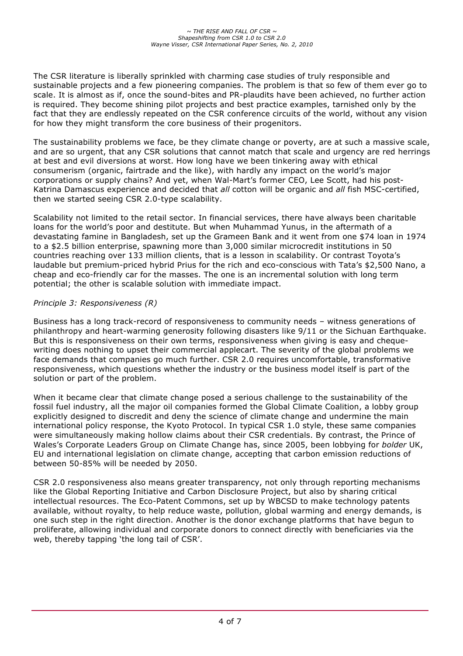The CSR literature is liberally sprinkled with charming case studies of truly responsible and sustainable projects and a few pioneering companies. The problem is that so few of them ever go to scale. It is almost as if, once the sound-bites and PR-plaudits have been achieved, no further action is required. They become shining pilot projects and best practice examples, tarnished only by the fact that they are endlessly repeated on the CSR conference circuits of the world, without any vision for how they might transform the core business of their progenitors.

The sustainability problems we face, be they climate change or poverty, are at such a massive scale, and are so urgent, that any CSR solutions that cannot match that scale and urgency are red herrings at best and evil diversions at worst. How long have we been tinkering away with ethical consumerism (organic, fairtrade and the like), with hardly any impact on the world's major corporations or supply chains? And yet, when Wal-Mart's former CEO, Lee Scott, had his post-Katrina Damascus experience and decided that *all* cotton will be organic and *all* fish MSC-certified, then we started seeing CSR 2.0-type scalability.

Scalability not limited to the retail sector. In financial services, there have always been charitable loans for the world's poor and destitute. But when Muhammad Yunus, in the aftermath of a devastating famine in Bangladesh, set up the Grameen Bank and it went from one \$74 loan in 1974 to a \$2.5 billion enterprise, spawning more than 3,000 similar microcredit institutions in 50 countries reaching over 133 million clients, that is a lesson in scalability. Or contrast Toyota's laudable but premium-priced hybrid Prius for the rich and eco-conscious with Tata's \$2,500 Nano, a cheap and eco-friendly car for the masses. The one is an incremental solution with long term potential; the other is scalable solution with immediate impact.

# *Principle 3: Responsiveness (R)*

Business has a long track-record of responsiveness to community needs – witness generations of philanthropy and heart-warming generosity following disasters like 9/11 or the Sichuan Earthquake. But this is responsiveness on their own terms, responsiveness when giving is easy and chequewriting does nothing to upset their commercial applecart. The severity of the global problems we face demands that companies go much further. CSR 2.0 requires uncomfortable, transformative responsiveness, which questions whether the industry or the business model itself is part of the solution or part of the problem.

When it became clear that climate change posed a serious challenge to the sustainability of the fossil fuel industry, all the major oil companies formed the Global Climate Coalition, a lobby group explicitly designed to discredit and deny the science of climate change and undermine the main international policy response, the Kyoto Protocol. In typical CSR 1.0 style, these same companies were simultaneously making hollow claims about their CSR credentials. By contrast, the Prince of Wales's Corporate Leaders Group on Climate Change has, since 2005, been lobbying for *bolder* UK, EU and international legislation on climate change, accepting that carbon emission reductions of between 50-85% will be needed by 2050.

CSR 2.0 responsiveness also means greater transparency, not only through reporting mechanisms like the Global Reporting Initiative and Carbon Disclosure Project, but also by sharing critical intellectual resources. The Eco-Patent Commons, set up by WBCSD to make technology patents available, without royalty, to help reduce waste, pollution, global warming and energy demands, is one such step in the right direction. Another is the donor exchange platforms that have begun to proliferate, allowing individual and corporate donors to connect directly with beneficiaries via the web, thereby tapping 'the long tail of CSR'.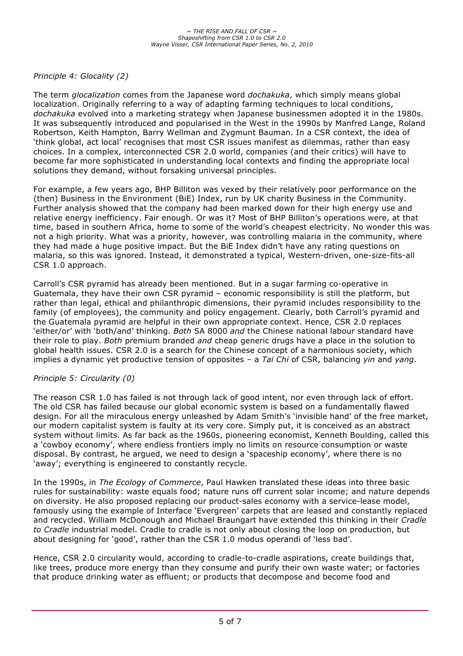# *Principle 4: Glocality (2)*

The term *glocalization* comes from the Japanese word *dochakuka*, which simply means global localization. Originally referring to a way of adapting farming techniques to local conditions, *dochakuka* evolved into a marketing strategy when Japanese businessmen adopted it in the 1980s. It was subsequently introduced and popularised in the West in the 1990s by Manfred Lange, Roland Robertson, Keith Hampton, Barry Wellman and Zygmunt Bauman. In a CSR context, the idea of 'think global, act local' recognises that most CSR issues manifest as dilemmas, rather than easy choices. In a complex, interconnected CSR 2.0 world, companies (and their critics) will have to become far more sophisticated in understanding local contexts and finding the appropriate local solutions they demand, without forsaking universal principles.

For example, a few years ago, BHP Billiton was vexed by their relatively poor performance on the (then) Business in the Environment (BiE) Index, run by UK charity Business in the Community. Further analysis showed that the company had been marked down for their high energy use and relative energy inefficiency. Fair enough. Or was it? Most of BHP Billiton's operations were, at that time, based in southern Africa, home to some of the world's cheapest electricity. No wonder this was not a high priority. What was a priority, however, was controlling malaria in the community, where they had made a huge positive impact. But the BiE Index didn't have any rating questions on malaria, so this was ignored. Instead, it demonstrated a typical, Western-driven, one-size-fits-all CSR 1.0 approach.

Carroll's CSR pyramid has already been mentioned. But in a sugar farming co-operative in Guatemala, they have their own CSR pyramid – economic responsibility is still the platform, but rather than legal, ethical and philanthropic dimensions, their pyramid includes responsibility to the family (of employees), the community and policy engagement. Clearly, both Carroll's pyramid and the Guatemala pyramid are helpful in their own appropriate context. Hence, CSR 2.0 replaces 'either/or' with 'both/and' thinking. *Both* SA 8000 *and* the Chinese national labour standard have their role to play. *Both* premium branded *and* cheap generic drugs have a place in the solution to global health issues. CSR 2.0 is a search for the Chinese concept of a harmonious society, which implies a dynamic yet productive tension of opposites – a *Tai Chi* of CSR, balancing *yin* and *yang*.

# *Principle 5: Circularity (0)*

The reason CSR 1.0 has failed is not through lack of good intent, nor even through lack of effort. The old CSR has failed because our global economic system is based on a fundamentally flawed design. For all the miraculous energy unleashed by Adam Smith's 'invisible hand' of the free market, our modern capitalist system is faulty at its very core. Simply put, it is conceived as an abstract system without limits. As far back as the 1960s, pioneering economist, Kenneth Boulding, called this a 'cowboy economy', where endless frontiers imply no limits on resource consumption or waste disposal. By contrast, he argued, we need to design a 'spaceship economy', where there is no 'away'; everything is engineered to constantly recycle.

In the 1990s, in *The Ecology of Commerce*, Paul Hawken translated these ideas into three basic rules for sustainability: waste equals food; nature runs off current solar income; and nature depends on diversity. He also proposed replacing our product-sales economy with a service-lease model, famously using the example of Interface 'Evergreen' carpets that are leased and constantly replaced and recycled. William McDonough and Michael Braungart have extended this thinking in their *Cradle to Cradle* industrial model. Cradle to cradle is not only about closing the loop on production, but about designing for 'good', rather than the CSR 1.0 modus operandi of 'less bad'.

Hence, CSR 2.0 circularity would, according to cradle-to-cradle aspirations, create buildings that, like trees, produce more energy than they consume and purify their own waste water; or factories that produce drinking water as effluent; or products that decompose and become food and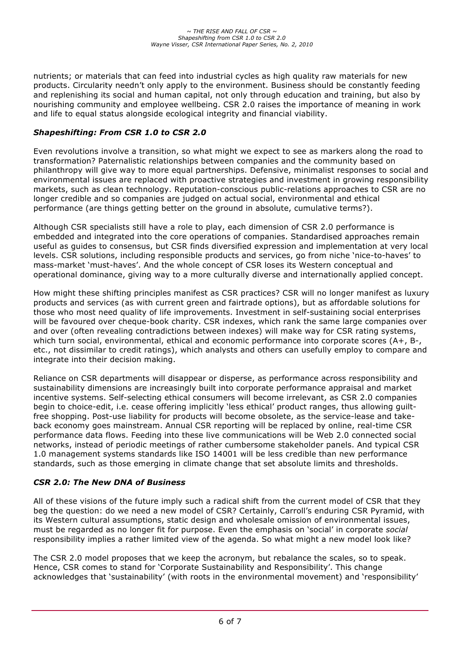nutrients; or materials that can feed into industrial cycles as high quality raw materials for new products. Circularity needn't only apply to the environment. Business should be constantly feeding and replenishing its social and human capital, not only through education and training, but also by nourishing community and employee wellbeing. CSR 2.0 raises the importance of meaning in work and life to equal status alongside ecological integrity and financial viability.

# *Shapeshifting: From CSR 1.0 to CSR 2.0*

Even revolutions involve a transition, so what might we expect to see as markers along the road to transformation? Paternalistic relationships between companies and the community based on philanthropy will give way to more equal partnerships. Defensive, minimalist responses to social and environmental issues are replaced with proactive strategies and investment in growing responsibility markets, such as clean technology. Reputation-conscious public-relations approaches to CSR are no longer credible and so companies are judged on actual social, environmental and ethical performance (are things getting better on the ground in absolute, cumulative terms?).

Although CSR specialists still have a role to play, each dimension of CSR 2.0 performance is embedded and integrated into the core operations of companies. Standardised approaches remain useful as guides to consensus, but CSR finds diversified expression and implementation at very local levels. CSR solutions, including responsible products and services, go from niche 'nice-to-haves' to mass-market 'must-haves'. And the whole concept of CSR loses its Western conceptual and operational dominance, giving way to a more culturally diverse and internationally applied concept.

How might these shifting principles manifest as CSR practices? CSR will no longer manifest as luxury products and services (as with current green and fairtrade options), but as affordable solutions for those who most need quality of life improvements. Investment in self-sustaining social enterprises will be favoured over cheque-book charity. CSR indexes, which rank the same large companies over and over (often revealing contradictions between indexes) will make way for CSR rating systems, which turn social, environmental, ethical and economic performance into corporate scores (A+, B-, etc., not dissimilar to credit ratings), which analysts and others can usefully employ to compare and integrate into their decision making.

Reliance on CSR departments will disappear or disperse, as performance across responsibility and sustainability dimensions are increasingly built into corporate performance appraisal and market incentive systems. Self-selecting ethical consumers will become irrelevant, as CSR 2.0 companies begin to choice-edit, i.e. cease offering implicitly 'less ethical' product ranges, thus allowing guiltfree shopping. Post-use liability for products will become obsolete, as the service-lease and takeback economy goes mainstream. Annual CSR reporting will be replaced by online, real-time CSR performance data flows. Feeding into these live communications will be Web 2.0 connected social networks, instead of periodic meetings of rather cumbersome stakeholder panels. And typical CSR 1.0 management systems standards like ISO 14001 will be less credible than new performance standards, such as those emerging in climate change that set absolute limits and thresholds.

### *CSR 2.0: The New DNA of Business*

All of these visions of the future imply such a radical shift from the current model of CSR that they beg the question: do we need a new model of CSR? Certainly, Carroll's enduring CSR Pyramid, with its Western cultural assumptions, static design and wholesale omission of environmental issues, must be regarded as no longer fit for purpose. Even the emphasis on 'social' in corporate *social* responsibility implies a rather limited view of the agenda. So what might a new model look like?

The CSR 2.0 model proposes that we keep the acronym, but rebalance the scales, so to speak. Hence, CSR comes to stand for 'Corporate Sustainability and Responsibility'. This change acknowledges that 'sustainability' (with roots in the environmental movement) and 'responsibility'